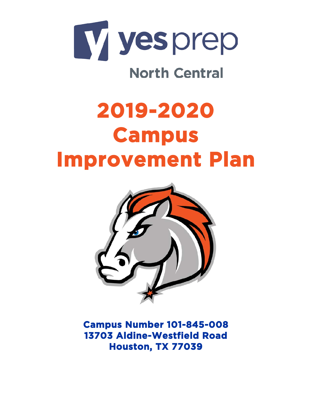

# **North Central**

# **2019-2020 Campus Improvement Plan**



**Campus Number 101-845-008 13703 Aldine-Westfield Road Houston, TX 77039**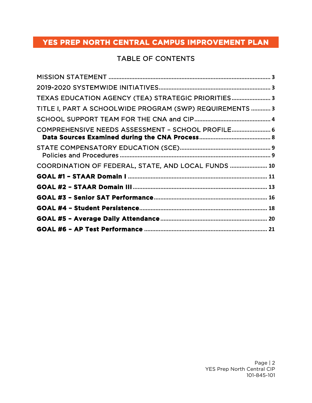# TABLE OF CONTENTS

| TEXAS EDUCATION AGENCY (TEA) STRATEGIC PRIORITIES 3      |  |
|----------------------------------------------------------|--|
| TITLE I, PART A SCHOOLWIDE PROGRAM (SWP) REQUIREMENTS  3 |  |
|                                                          |  |
| COMPREHENSIVE NEEDS ASSESSMENT - SCHOOL PROFILE 6        |  |
|                                                          |  |
| COORDINATION OF FEDERAL, STATE, AND LOCAL FUNDS  10      |  |
|                                                          |  |
|                                                          |  |
|                                                          |  |
|                                                          |  |
|                                                          |  |
|                                                          |  |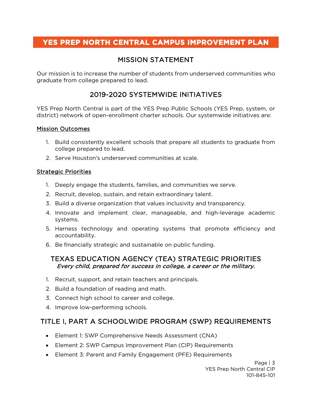# MISSION STATEMENT

<span id="page-2-0"></span>Our mission is to increase the number of students from underserved communities who graduate from college prepared to lead.

# 2019-2020 SYSTEMWIDE INITIATIVES

<span id="page-2-1"></span>YES Prep North Central is part of the YES Prep Public Schools (YES Prep, system, or district) network of open-enrollment charter schools. Our systemwide initiatives are:

#### Mission Outcomes

- 1. Build consistently excellent schools that prepare all students to graduate from college prepared to lead.
- 2. Serve Houston's underserved communities at scale.

#### Strategic Priorities

- 1. Deeply engage the students, families, and communities we serve.
- 2. Recruit, develop, sustain, and retain extraordinary talent.
- 3. Build a diverse organization that values inclusivity and transparency.
- 4. Innovate and implement clear, manageable, and high-leverage academic systems.
- 5. Harness technology and operating systems that promote efficiency and accountability.
- 6. Be financially strategic and sustainable on public funding.

#### <span id="page-2-2"></span>TEXAS EDUCATION AGENCY (TEA) STRATEGIC PRIORITIES Every child, prepared for success in college, a career or the military.

- 1. Recruit, support, and retain teachers and principals.
- 2. Build a foundation of reading and math.
- 3. Connect high school to career and college.
- 4. Improve low-performing schools.

# <span id="page-2-3"></span>TITLE I, PART A SCHOOLWIDE PROGRAM (SWP) REQUIREMENTS

- Element 1: SWP Comprehensive Needs Assessment (CNA)
- Element 2: SWP Campus Improvement Plan (CIP) Requirements
- Element 3: Parent and Family Engagement (PFE) Requirements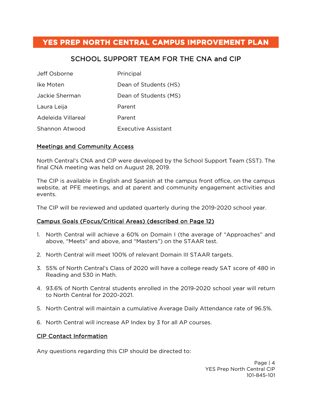# SCHOOL SUPPORT TEAM FOR THE CNA and CIP

<span id="page-3-0"></span>

| Jeff Osborne       | Principal                  |
|--------------------|----------------------------|
| Ike Moten          | Dean of Students (HS)      |
| Jackie Sherman     | Dean of Students (MS)      |
| Laura Leija        | Parent                     |
| Adeleida Villareal | Parent                     |
| Shannon Atwood     | <b>Executive Assistant</b> |

#### Meetings and Community Access

North Central's CNA and CIP were developed by the School Support Team (SST). The final CNA meeting was held on August 28, 2019.

The CIP is available in English and Spanish at the campus front office, on the campus website, at PFE meetings, and at parent and community engagement activities and events.

The CIP will be reviewed and updated quarterly during the 2019-2020 school year.

#### Campus Goals (Focus/Critical Areas) (described on Page 12)

- 1. North Central will achieve a 60% on Domain I (the average of "Approaches" and above, "Meets" and above, and "Masters") on the STAAR test.
- 2. North Central will meet 100% of relevant Domain III STAAR targets.
- 3. 55% of North Central's Class of 2020 will have a college ready SAT score of 480 in Reading and 530 in Math.
- 4. 93.6% of North Central students enrolled in the 2019-2020 school year will return to North Central for 2020-2021.
- 5. North Central will maintain a cumulative Average Daily Attendance rate of 96.5%.
- 6. North Central will increase AP Index by 3 for all AP courses.

#### CIP Contact Information

Any questions regarding this CIP should be directed to: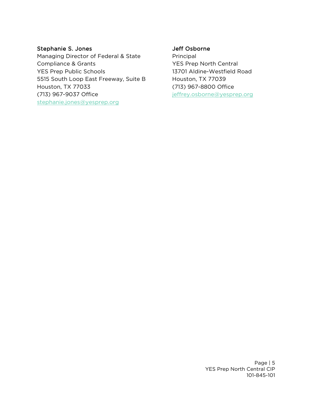#### Stephanie S. Jones

Managing Director of Federal & State Compliance & Grants YES Prep Public Schools 5515 South Loop East Freeway, Suite B Houston, TX 77033 (713) 967-9037 Office [stephanie.jones@yesprep.org](mailto:stephanie.jones@yesprep.org)

#### Jeff Osborne

Principal YES Prep North Central 13701 Aldine-Westfield Road Houston, TX 77039 (713) 967-8800 Office jeffrey.osborne@yesprep.org

> Page | 5 YES Prep North Central CIP 101-845-101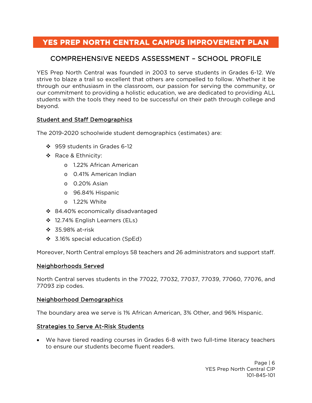# <span id="page-5-0"></span>COMPREHENSIVE NEEDS ASSESSMENT – SCHOOL PROFILE

YES Prep North Central was founded in 2003 to serve students in Grades 6-12. We strive to blaze a trail so excellent that others are compelled to follow. Whether it be through our enthusiasm in the classroom, our passion for serving the community, or our commitment to providing a holistic education, we are dedicated to providing ALL students with the tools they need to be successful on their path through college and beyond.

#### Student and Staff Demographics

The 2019-2020 schoolwide student demographics (estimates) are:

- 959 students in Grades 6-12
- ❖ Race & Ethnicity:
	- o 1.22% African American
	- o 0.41% American Indian
	- o 0.20% Asian
	- o 96.84% Hispanic
	- o 1.22% White
- ❖ 84.40% economically disadvantaged
- ❖ 12.74% English Learners (ELs)
- 35.98% at-risk
- 3.16% special education (SpEd)

Moreover, North Central employs 58 teachers and 26 administrators and support staff.

#### Neighborhoods Served

North Central serves students in the 77022, 77032, 77037, 77039, 77060, 77076, and 77093 zip codes.

#### Neighborhood Demographics

The boundary area we serve is 1% African American, 3% Other, and 96% Hispanic.

#### Strategies to Serve At-Risk Students

• We have tiered reading courses in Grades 6-8 with two full-time literacy teachers to ensure our students become fluent readers.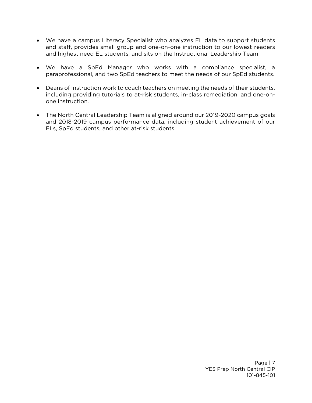- We have a campus Literacy Specialist who analyzes EL data to support students and staff, provides small group and one-on-one instruction to our lowest readers and highest need EL students, and sits on the Instructional Leadership Team.
- We have a SpEd Manager who works with a compliance specialist, a paraprofessional, and two SpEd teachers to meet the needs of our SpEd students.
- Deans of Instruction work to coach teachers on meeting the needs of their students, including providing tutorials to at-risk students, in-class remediation, and one-onone instruction.
- The North Central Leadership Team is aligned around our 2019-2020 campus goals and 2018-2019 campus performance data, including student achievement of our ELs, SpEd students, and other at-risk students.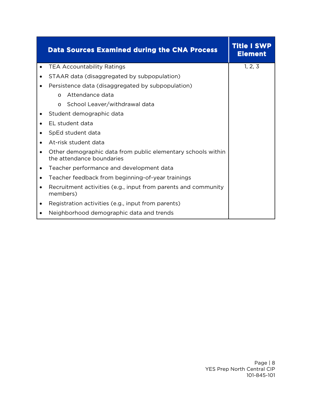<span id="page-7-0"></span>

|           | <b>Data Sources Examined during the CNA Process</b>                                       | Title I SWP<br><b>Element</b> |
|-----------|-------------------------------------------------------------------------------------------|-------------------------------|
|           | <b>TEA Accountability Ratings</b>                                                         | 1, 2, 3                       |
|           | STAAR data (disaggregated by subpopulation)                                               |                               |
|           | Persistence data (disaggregated by subpopulation)                                         |                               |
|           | Attendance data<br>$\Omega$                                                               |                               |
|           | School Leaver/withdrawal data<br>$\Omega$                                                 |                               |
|           | Student demographic data                                                                  |                               |
|           | EL student data                                                                           |                               |
| ٠         | SpEd student data                                                                         |                               |
|           | At-risk student data                                                                      |                               |
|           | Other demographic data from public elementary schools within<br>the attendance boundaries |                               |
|           | Teacher performance and development data                                                  |                               |
| $\bullet$ | Teacher feedback from beginning-of-year trainings                                         |                               |
| $\bullet$ | Recruitment activities (e.g., input from parents and community<br>members)                |                               |
|           | Registration activities (e.g., input from parents)                                        |                               |
|           | Neighborhood demographic data and trends                                                  |                               |

т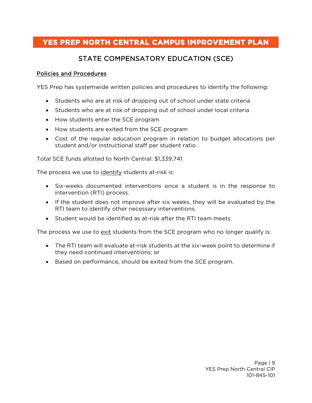# STATE COMPENSATORY EDUCATION (SCE)

#### <span id="page-8-1"></span><span id="page-8-0"></span>Policies and Procedures

YES Prep has systemwide written policies and procedures to identify the following:

- Students who are at risk of dropping out of school under state criteria
- Students who are at risk of dropping out of school under local criteria
- How students enter the SCE program
- How students are exited from the SCE program
- Cost of the regular education program in relation to budget allocations per student and/or instructional staff per student ratio

Total SCE funds allotted to North Central: \$1,339,741

The process we use to identify students at-risk is:

- Six-weeks documented interventions once a student is in the response to intervention (RTI) process.
- If the student does not improve after six weeks, they will be evaluated by the RTI team to identify other necessary interventions.
- Student would be identified as at-risk after the RTI team meets.

The process we use to exit students from the SCE program who no longer qualify is:

- The RTI team will evaluate at-risk students at the six-week point to determine if they need continued interventions; or
- Based on performance, should be exited from the SCE program.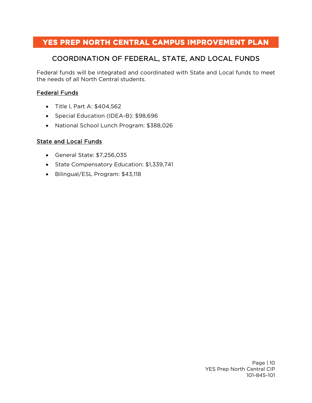# COORDINATION OF FEDERAL, STATE, AND LOCAL FUNDS

<span id="page-9-0"></span>Federal funds will be integrated and coordinated with State and Local funds to meet the needs of all North Central students.

#### Federal Funds

- Title I, Part A: \$404,562
- Special Education (IDEA-B): \$98,696
- National School Lunch Program: \$388,026

#### State and Local Funds

- General State: \$7,256,035
- State Compensatory Education: \$1,339,741
- Bilingual/ESL Program: \$43,118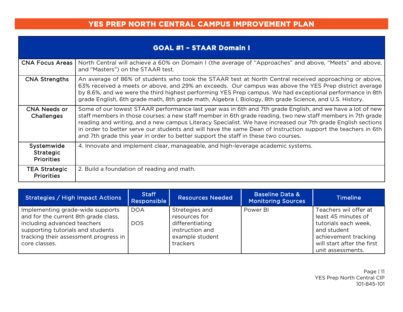|                                                     | <b>GOAL #1 - STAAR Domain I</b>                                                                                                                                                                                                                                                                                                                                                                                                                                                                                                               |
|-----------------------------------------------------|-----------------------------------------------------------------------------------------------------------------------------------------------------------------------------------------------------------------------------------------------------------------------------------------------------------------------------------------------------------------------------------------------------------------------------------------------------------------------------------------------------------------------------------------------|
| <b>CNA Focus Areas</b>                              | North Central will achieve a 60% on Domain I (the average of "Approaches" and above, "Meets" and above,<br>and "Masters") on the STAAR test.                                                                                                                                                                                                                                                                                                                                                                                                  |
| <b>CNA Strengths</b>                                | An average of 86% of students who took the STAAR test at North Central received approaching or above,<br>63% received a meets or above, and 29% an exceeds. Our campus was above the YES Prep district average<br>by 8.6%, and we were the third highest performing YES Prep campus. We had exceptional performance in 8th<br>grade English, 6th grade math, 8th grade math, Algebra I, Biology, 8th grade Science, and U.S. History.                                                                                                         |
| <b>CNA Needs or</b><br>Challenges                   | Some of our lowest STAAR performance last year was in 6th and 7th grade English, and we have a lot of new<br>staff members in those courses: a new staff member in 6th grade reading, two new staff members in 7th grade<br>reading and writing, and a new campus Literacy Specialist. We have increased our 7th grade English sections<br>in order to better serve our students and will have the same Dean of Instruction support the teachers in 6th<br>and 7th grade this year in order to better support the staff in these two courses. |
| Systemwide<br><b>Strategic</b><br><b>Priorities</b> | 4. Innovate and implement clear, manageable, and high-leverage academic systems.                                                                                                                                                                                                                                                                                                                                                                                                                                                              |
| TEA Strategic<br><b>Priorities</b>                  | 2. Build a foundation of reading and math.                                                                                                                                                                                                                                                                                                                                                                                                                                                                                                    |

<span id="page-10-0"></span>

| Strategies / High Impact Actions                                                                                                                                                                       | <b>Staff</b><br>Responsible | <b>Resources Needed</b>                                                                              | <b>Baseline Data &amp;</b><br><b>Monitoring Sources</b> | <b>Timeline</b>                                                                                                                                                |
|--------------------------------------------------------------------------------------------------------------------------------------------------------------------------------------------------------|-----------------------------|------------------------------------------------------------------------------------------------------|---------------------------------------------------------|----------------------------------------------------------------------------------------------------------------------------------------------------------------|
| Implementing grade-wide supports<br>and for the current 8th grade class,<br>including advanced teachers<br>supporting tutorials and students<br>tracking their assessment progress in<br>core classes. | <b>DOA</b><br><b>DOS</b>    | Stretegies and<br>resources for<br>differentiating<br>instruction and<br>example student<br>trackers | Power BI                                                | Teachers wil offer at<br>least 45 minutes of<br>tutorials each week,<br>and student<br>achievement tracking<br>will start after the first<br>unit assessments. |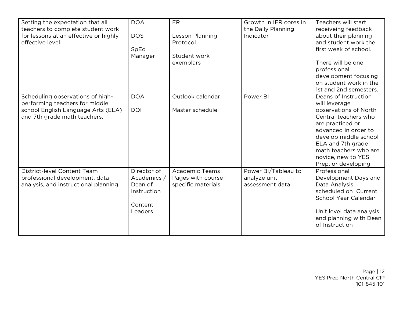| Setting the expectation that all<br>teachers to complete student work<br>for lessons at an effective or highly<br>effective level.       | <b>DOA</b><br><b>DOS</b><br>SpEd<br>Manager                                | ER<br>Lesson Planning<br>Protocol<br>Student work<br>exemplars    | Growth in IER cores in<br>the Daily Planning<br>Indicator | Teachers will start<br>receiveing feedback<br>about their planning<br>and student work the<br>first week of school.<br>There will be one<br>professional<br>development focusing<br>on student work in the<br>1st and 2nd semesters.                    |
|------------------------------------------------------------------------------------------------------------------------------------------|----------------------------------------------------------------------------|-------------------------------------------------------------------|-----------------------------------------------------------|---------------------------------------------------------------------------------------------------------------------------------------------------------------------------------------------------------------------------------------------------------|
| Scheduling observations of high-<br>performing teachers for middle<br>school English Language Arts (ELA)<br>and 7th grade math teachers. | <b>DOA</b><br><b>DOI</b>                                                   | Outlook calendar<br>Master schedule                               | Power BI                                                  | Deans of Instruction<br>will leverage<br>observations of North<br>Central teachers who<br>are practiced or<br>advanced in order to<br>develop middle school<br>ELA and 7th grade<br>math teachers who are<br>novice, new to YES<br>Prep, or developing. |
| District-level Content Team<br>professional development, data<br>analysis, and instructional planning.                                   | Director of<br>Academics /<br>Dean of<br>Instruction<br>Content<br>Leaders | <b>Academic Teams</b><br>Pages with course-<br>specific materials | Power BI/Tableau to<br>analyze unit<br>assessment data    | Professional<br>Development Days and<br>Data Analysis<br>scheduled on Current<br>School Year Calendar<br>Unit level data analysis<br>and planning with Dean<br>of Instruction                                                                           |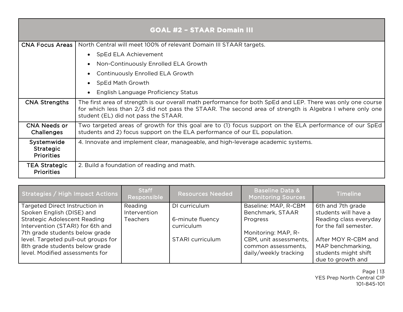|                                                     | <b>GOAL #2 - STAAR Domain III</b>                                                                                                                                                                                                                              |  |  |  |  |  |  |
|-----------------------------------------------------|----------------------------------------------------------------------------------------------------------------------------------------------------------------------------------------------------------------------------------------------------------------|--|--|--|--|--|--|
| <b>CNA Focus Areas</b>                              | North Central will meet 100% of relevant Domain III STAAR targets.                                                                                                                                                                                             |  |  |  |  |  |  |
|                                                     | SpEd ELA Achievement<br>$\bullet$                                                                                                                                                                                                                              |  |  |  |  |  |  |
|                                                     | Non-Continuously Enrolled ELA Growth                                                                                                                                                                                                                           |  |  |  |  |  |  |
|                                                     | Continuously Enrolled ELA Growth                                                                                                                                                                                                                               |  |  |  |  |  |  |
|                                                     | SpEd Math Growth                                                                                                                                                                                                                                               |  |  |  |  |  |  |
|                                                     | English Language Proficiency Status                                                                                                                                                                                                                            |  |  |  |  |  |  |
| <b>CNA Strengths</b>                                | The first area of strength is our overall math performance for both SpEd and LEP. There was only one course<br>for which less than 2/3 did not pass the STAAR. The second area of strength is Algebra I where only one<br>student (EL) did not pass the STAAR. |  |  |  |  |  |  |
| <b>CNA Needs or</b><br>Challenges                   | Two targeted areas of growth for this goal are to (1) focus support on the ELA performance of our SpEd<br>students and 2) focus support on the ELA performance of our EL population.                                                                           |  |  |  |  |  |  |
| Systemwide<br><b>Strategic</b><br><b>Priorities</b> | 4. Innovate and implement clear, manageable, and high-leverage academic systems.                                                                                                                                                                               |  |  |  |  |  |  |
| <b>TEA Strategic</b><br><b>Priorities</b>           | 2. Build a foundation of reading and math.                                                                                                                                                                                                                     |  |  |  |  |  |  |

<span id="page-12-0"></span>

| Strategies / High Impact Actions                                                                                                                                                                                                                                                     | <b>Staff</b><br>Responsible                | <b>Resources Needed</b>                                             | <b>Baseline Data &amp;</b><br><b>Monitoring Sources</b>                                                                                               | <b>Timeline</b>                                                                                                                                                                        |
|--------------------------------------------------------------------------------------------------------------------------------------------------------------------------------------------------------------------------------------------------------------------------------------|--------------------------------------------|---------------------------------------------------------------------|-------------------------------------------------------------------------------------------------------------------------------------------------------|----------------------------------------------------------------------------------------------------------------------------------------------------------------------------------------|
| Targeted Direct Instruction in<br>Spoken English (DISE) and<br><b>Strategic Adolescent Reading</b><br>Intervention (STARI) for 6th and<br>7th grade students below grade<br>level. Targeted pull-out groups for<br>8th grade students below grade<br>level. Modified assessments for | Reading<br>Intervention<br><b>Teachers</b> | DI curriculum<br>6-minute fluency<br>curriculum<br>STARI curriculum | Baseline: MAP, R-CBM<br>Benchmark, STAAR<br>Progress<br>Monitoring: MAP, R-<br>CBM, unit assessments,<br>common assessments,<br>daily/weekly tracking | 6th and 7th grade<br>students will have a<br>Reading class everyday<br>for the fall semester.<br>After MOY R-CBM and<br>MAP benchmarking,<br>students might shift<br>due to growth and |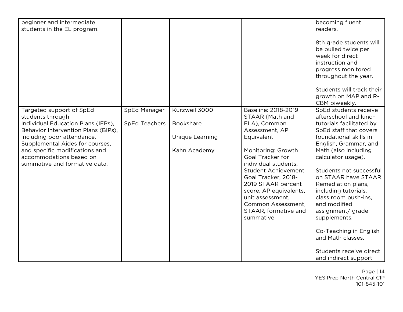| beginner and intermediate<br>students in the EL program.                                                                                                                                                                                                                                 |                                      |                                                               |                                                                                                                                                                                                                                                                                                                                              | becoming fluent<br>readers.<br>8th grade students will<br>be pulled twice per<br>week for direct<br>instruction and<br>progress monitored<br>throughout the year.<br>Students will track their<br>growth on MAP and R-<br>CBM biweekly.                                                                                                                                                                                                                                              |
|------------------------------------------------------------------------------------------------------------------------------------------------------------------------------------------------------------------------------------------------------------------------------------------|--------------------------------------|---------------------------------------------------------------|----------------------------------------------------------------------------------------------------------------------------------------------------------------------------------------------------------------------------------------------------------------------------------------------------------------------------------------------|--------------------------------------------------------------------------------------------------------------------------------------------------------------------------------------------------------------------------------------------------------------------------------------------------------------------------------------------------------------------------------------------------------------------------------------------------------------------------------------|
| Targeted support of SpEd<br>students through<br>Individual Education Plans (IEPs),<br>Behavior Intervention Plans (BIPs),<br>including poor attendance,<br>Supplemental Aides for courses,<br>and specific modifications and<br>accommodations based on<br>summative and formative data. | SpEd Manager<br><b>SpEd Teachers</b> | Kurzweil 3000<br>Bookshare<br>Unique Learning<br>Kahn Academy | Baseline: 2018-2019<br>STAAR (Math and<br>ELA), Common<br>Assessment, AP<br>Equivalent<br>Monitoring: Growth<br>Goal Tracker for<br>individual students,<br><b>Student Achievement</b><br>Goal Tracker, 2018-<br>2019 STAAR percent<br>score, AP equivalents,<br>unit assessment.<br>Common Assessment,<br>STAAR, formative and<br>summative | SpEd students receive<br>afterschool and lunch<br>tutorials facilitated by<br>SpEd staff that covers<br>foundational skills in<br>English, Grammar, and<br>Math (also including<br>calculator usage).<br>Students not successful<br>on STAAR have STAAR<br>Remediation plans,<br>including tutorials,<br>class room push-ins,<br>and modified<br>assignment/ grade<br>supplements.<br>Co-Teaching in English<br>and Math classes.<br>Students receive direct<br>and indirect support |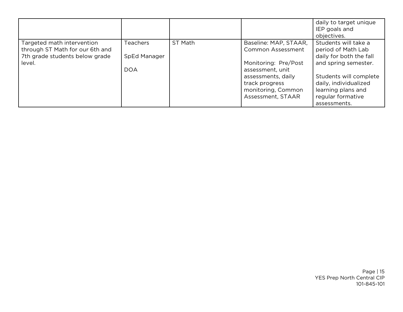|                                                                                                           |                                               |         |                                                                                                                                                                                  | daily to target unique<br>IEP goals and<br>objectives.                                                                                                                                                      |
|-----------------------------------------------------------------------------------------------------------|-----------------------------------------------|---------|----------------------------------------------------------------------------------------------------------------------------------------------------------------------------------|-------------------------------------------------------------------------------------------------------------------------------------------------------------------------------------------------------------|
| Targeted math intervention<br>through ST Math for our 6th and<br>7th grade students below grade<br>level. | <b>Teachers</b><br>SpEd Manager<br><b>DOA</b> | ST Math | Baseline: MAP, STAAR,<br><b>Common Assessment</b><br>Monitoring: Pre/Post<br>assessment, unit<br>assessments, daily<br>track progress<br>monitoring, Common<br>Assessment, STAAR | Students will take a<br>period of Math Lab<br>daily for both the fall<br>and spring semester.<br>Students will complete<br>daily, individualized<br>learning plans and<br>regular formative<br>assessments. |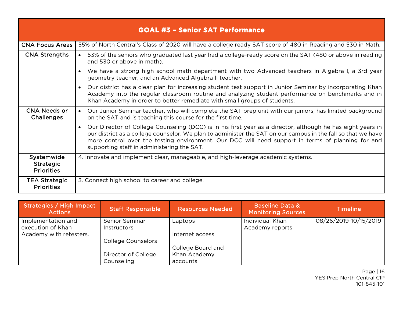|                                                     | <b>GOAL #3 - Senior SAT Performance</b>                                                                                                                                                                                                                                                                                                                                                     |
|-----------------------------------------------------|---------------------------------------------------------------------------------------------------------------------------------------------------------------------------------------------------------------------------------------------------------------------------------------------------------------------------------------------------------------------------------------------|
| <b>CNA Focus Areas  </b>                            | 55% of North Central's Class of 2020 will have a college ready SAT score of 480 in Reading and 530 in Math.                                                                                                                                                                                                                                                                                 |
| <b>CNA Strengths</b>                                | • 53% of the seniors who graduated last year had a college-ready score on the SAT (480 or above in reading<br>and 530 or above in math).                                                                                                                                                                                                                                                    |
|                                                     | We have a strong high school math department with two Advanced teachers in Algebra I, a 3rd year<br>geometry teacher, and an Advanced Algebra II teacher.                                                                                                                                                                                                                                   |
|                                                     | Our district has a clear plan for increasing student test support in Junior Seminar by incorporating Khan<br>Academy into the regular classroom routine and analyzing student performance on benchmarks and in<br>Khan Academy in order to better remediate with small groups of students.                                                                                                  |
| CNA Needs or<br><b>Challenges</b>                   | • Our Junior Seminar teacher, who will complete the SAT prep unit with our juniors, has limited background<br>on the SAT and is teaching this course for the first time.                                                                                                                                                                                                                    |
|                                                     | Our Director of College Counseling (DCC) is in his first year as a director, although he has eight years in<br>$\bullet$<br>our district as a college counselor. We plan to administer the SAT on our campus in the fall so that we have<br>more control over the testing environment. Our DCC will need support in terms of planning for and<br>supporting staff in administering the SAT. |
| Systemwide<br><b>Strategic</b><br><b>Priorities</b> | 4. Innovate and implement clear, manageable, and high-leverage academic systems.                                                                                                                                                                                                                                                                                                            |
| <b>TEA Strategic</b><br><b>Priorities</b>           | 3. Connect high school to career and college.                                                                                                                                                                                                                                                                                                                                               |

<span id="page-15-0"></span>

| Strategies / High Impact<br><b>Actions</b> | <b>Staff Responsible</b>  | <b>Resources Needed</b> | <b>Baseline Data &amp;</b><br><b>Monitoring Sources</b> | <b>Timeline</b>       |
|--------------------------------------------|---------------------------|-------------------------|---------------------------------------------------------|-----------------------|
| Implementation and                         | Senior Seminar            | Laptops                 | Individual Khan                                         | 08/26/2019-10/15/2019 |
| execution of Khan                          | <i>Instructors</i>        |                         | Academy reports                                         |                       |
| Academy with retesters.                    |                           | Internet access         |                                                         |                       |
|                                            | <b>College Counselors</b> |                         |                                                         |                       |
|                                            |                           | College Board and       |                                                         |                       |
|                                            | Director of College       | Khan Academy            |                                                         |                       |
|                                            | Counseling                | accounts                |                                                         |                       |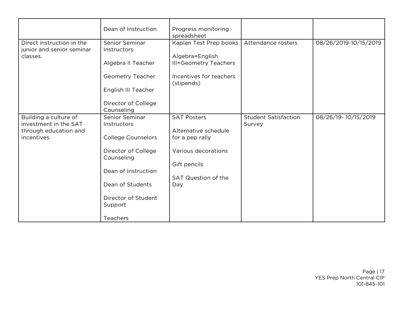|                           | Dean of Instruction       | Progress monitoring                   |                             |                       |
|---------------------------|---------------------------|---------------------------------------|-----------------------------|-----------------------|
|                           |                           | spreadsheet                           |                             |                       |
| Direct instruction in the | Senior Seminar            | Kaplan Test Prep books                | Attendance rosters          | 08/26/2019-10/15/2019 |
| junior and senior seminar | Instructors               |                                       |                             |                       |
| classes.                  |                           | Algebra+English                       |                             |                       |
|                           | Algebra II Teacher        | <b>III+Geometry Teachers</b>          |                             |                       |
|                           | Geometry Teacher          | Incentives for teachers<br>(stipends) |                             |                       |
|                           | English III Teacher       |                                       |                             |                       |
|                           | Director of College       |                                       |                             |                       |
|                           | Counseling                |                                       |                             |                       |
| Building a culture of     | Senior Seminar            | <b>SAT Posters</b>                    | <b>Student Satisfaction</b> | 08/26/19-10/15/2019   |
| investment in the SAT     | Instructors               |                                       | Survey                      |                       |
| through education and     |                           | Alternative schedule                  |                             |                       |
| incentives.               | <b>College Counselors</b> | for a pep rally                       |                             |                       |
|                           | Director of College       | Various decorations                   |                             |                       |
|                           | Counseling                |                                       |                             |                       |
|                           |                           | Gift pencils                          |                             |                       |
|                           | Dean of Instruction       |                                       |                             |                       |
|                           |                           | <b>SAT Question of the</b>            |                             |                       |
|                           | Dean of Students          | Day                                   |                             |                       |
|                           | Director of Student       |                                       |                             |                       |
|                           | Support                   |                                       |                             |                       |
|                           |                           |                                       |                             |                       |
|                           | Teachers                  |                                       |                             |                       |

Page | 17 YES Prep North Central CIP 101-845-101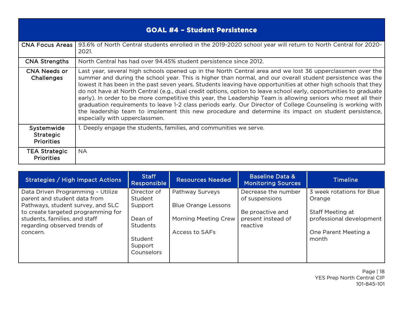| <b>GOAL #4 - Student Persistence</b>                |                                                                                                                                                                                                                                                                                                                                                                                                                                                                                                                                                                                                                                                                                                                                                                                                                                           |  |  |  |
|-----------------------------------------------------|-------------------------------------------------------------------------------------------------------------------------------------------------------------------------------------------------------------------------------------------------------------------------------------------------------------------------------------------------------------------------------------------------------------------------------------------------------------------------------------------------------------------------------------------------------------------------------------------------------------------------------------------------------------------------------------------------------------------------------------------------------------------------------------------------------------------------------------------|--|--|--|
|                                                     | <b>CNA Focus Areas</b>   93.6% of North Central students enrolled in the 2019-2020 school year will return to North Central for 2020-<br>2021.                                                                                                                                                                                                                                                                                                                                                                                                                                                                                                                                                                                                                                                                                            |  |  |  |
| <b>CNA Strengths</b>                                | North Central has had over 94.45% student persistence since 2012.                                                                                                                                                                                                                                                                                                                                                                                                                                                                                                                                                                                                                                                                                                                                                                         |  |  |  |
| <b>CNA Needs or</b><br>Challenges                   | Last year, several high schools opened up in the North Central area and we lost 36 upperclassmen over the<br>summer and during the school year. This is higher than normal, and our overall student persistence was the<br>lowest it has been in the past seven years. Students leaving have opportunities at other high schools that they<br>do not have at North Central (e.g., dual credit options, option to leave school early, opportunities to graduate<br>early). In order to be more competitive this year, the Leadership Team is allowing seniors who meet all their<br>graduation requirements to leave 1-2 class periods early. Our Director of College Counseling is working with<br>the leadership team to implement this new procedure and determine its impact on student persistence,<br>especially with upperclassmen. |  |  |  |
| Systemwide<br><b>Strategic</b><br><b>Priorities</b> | 1. Deeply engage the students, families, and communities we serve.                                                                                                                                                                                                                                                                                                                                                                                                                                                                                                                                                                                                                                                                                                                                                                        |  |  |  |
| <b>TEA Strategic</b><br><b>Priorities</b>           | <b>NA</b>                                                                                                                                                                                                                                                                                                                                                                                                                                                                                                                                                                                                                                                                                                                                                                                                                                 |  |  |  |

<span id="page-17-0"></span>

| Strategies / High Impact Actions                                  | <b>Staff</b><br><b>Responsible</b> | <b>Resources Needed</b>     | <b>Baseline Data &amp;</b><br><b>Monitoring Sources</b> | <b>Timeline</b>                     |
|-------------------------------------------------------------------|------------------------------------|-----------------------------|---------------------------------------------------------|-------------------------------------|
| Data Driven Programming - Utilize<br>parent and student data from | Director of<br>Student             | Pathway Surveys             | Decrease the number<br>of suspensions                   | 3 week rotations for Blue<br>Orange |
| Pathways, student survey, and SLC                                 | Support                            | <b>Blue Orange Lessons</b>  |                                                         |                                     |
| to create targeted programming for                                |                                    |                             | Be proactive and                                        | Staff Meeting at                    |
| students, families, and staff                                     | Dean of                            | <b>Morning Meeting Crew</b> | present instead of                                      | professional development            |
| regarding observed trends of                                      | <b>Students</b>                    |                             | reactive                                                |                                     |
| concern.                                                          |                                    | Access to SAFs              |                                                         | One Parent Meeting a                |
|                                                                   | Student                            |                             |                                                         | month                               |
|                                                                   | Support                            |                             |                                                         |                                     |
|                                                                   | <b>Counselors</b>                  |                             |                                                         |                                     |
|                                                                   |                                    |                             |                                                         |                                     |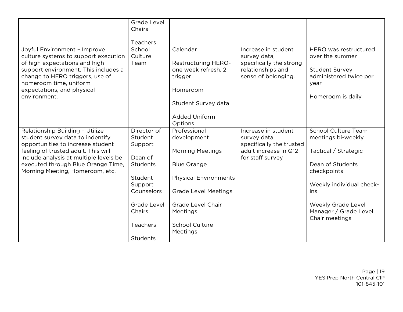|                                                                                                                                                                                                                                                          | <b>Grade Level</b><br>Chairs      |                                                                                                             |                                                                                                            |                                                                                                                          |
|----------------------------------------------------------------------------------------------------------------------------------------------------------------------------------------------------------------------------------------------------------|-----------------------------------|-------------------------------------------------------------------------------------------------------------|------------------------------------------------------------------------------------------------------------|--------------------------------------------------------------------------------------------------------------------------|
|                                                                                                                                                                                                                                                          | Teachers                          |                                                                                                             |                                                                                                            |                                                                                                                          |
| Joyful Environment - Improve<br>culture systems to support execution<br>of high expectations and high<br>support environment. This includes a<br>change to HERO triggers, use of<br>homeroom time, uniform<br>expectations, and physical<br>environment. | School<br>Culture<br>Team         | Calendar<br><b>Restructuring HERO-</b><br>one week refresh, 2<br>trigger<br>Homeroom<br>Student Survey data | Increase in student<br>survey data,<br>specifically the strong<br>relationships and<br>sense of belonging. | HERO was restructured<br>over the summer<br><b>Student Survey</b><br>administered twice per<br>year<br>Homeroom is daily |
|                                                                                                                                                                                                                                                          |                                   | <b>Added Uniform</b><br>Options                                                                             |                                                                                                            |                                                                                                                          |
| Relationship Building - Utilize<br>student survey data to indentify<br>opportunities to increase student                                                                                                                                                 | Director of<br>Student<br>Support | Professional<br>development                                                                                 | Increase in student<br>survey data,<br>specifically the trusted                                            | <b>School Culture Team</b><br>meetings bi-weekly                                                                         |
| feeling of trusted adult. This will<br>include analysis at multiple levels be                                                                                                                                                                            | Dean of                           | <b>Morning Meetings</b>                                                                                     | adult increase in Q12<br>for staff survey                                                                  | Tactical / Strategic                                                                                                     |
| executed through Blue Orange Time,<br>Morning Meeting, Homeroom, etc.                                                                                                                                                                                    | <b>Students</b>                   | <b>Blue Orange</b>                                                                                          |                                                                                                            | Dean of Students<br>checkpoints                                                                                          |
|                                                                                                                                                                                                                                                          | Student<br>Support                | <b>Physical Environments</b>                                                                                |                                                                                                            | Weekly individual check-                                                                                                 |
|                                                                                                                                                                                                                                                          | Counselors                        | <b>Grade Level Meetings</b>                                                                                 |                                                                                                            | ins                                                                                                                      |
|                                                                                                                                                                                                                                                          | <b>Grade Level</b><br>Chairs      | <b>Grade Level Chair</b><br>Meetings                                                                        |                                                                                                            | <b>Weekly Grade Level</b><br>Manager / Grade Level<br>Chair meetings                                                     |
|                                                                                                                                                                                                                                                          | Teachers                          | <b>School Culture</b><br>Meetings                                                                           |                                                                                                            |                                                                                                                          |
|                                                                                                                                                                                                                                                          | <b>Students</b>                   |                                                                                                             |                                                                                                            |                                                                                                                          |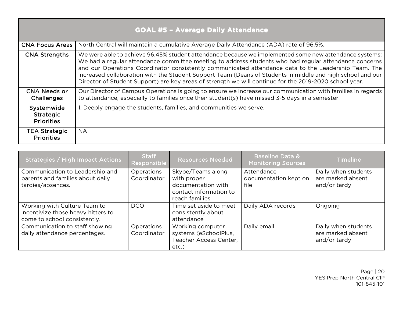| <b>GOAL #5 - Average Daily Attendance</b>           |                                                                                                                                                                                                                                                                                                                                                                                                                                                                                                                                                |  |  |  |
|-----------------------------------------------------|------------------------------------------------------------------------------------------------------------------------------------------------------------------------------------------------------------------------------------------------------------------------------------------------------------------------------------------------------------------------------------------------------------------------------------------------------------------------------------------------------------------------------------------------|--|--|--|
| <b>CNA Focus Areas</b>                              | North Central will maintain a cumulative Average Daily Attendance (ADA) rate of 96.5%.                                                                                                                                                                                                                                                                                                                                                                                                                                                         |  |  |  |
| <b>CNA Strengths</b>                                | We were able to achieve 96.45% student attendance because we implemented some new attendance systems:<br>We had a regular attendance committee meeting to address students who had regular attendance concerns<br>and our Operations Coordinator consistently communicated attendance data to the Leadership Team. The<br>increased collaboration with the Student Support Team (Deans of Students in middle and high school and our<br>Director of Student Support) are key areas of strength we will continue for the 2019-2020 school year. |  |  |  |
| <b>CNA Needs or</b><br>Challenges                   | Our Director of Campus Operations is going to ensure we increase our communication with families in regards<br>to attendance, especially to families once their student(s) have missed 3-5 days in a semester.                                                                                                                                                                                                                                                                                                                                 |  |  |  |
| Systemwide<br><b>Strategic</b><br><b>Priorities</b> | 1. Deeply engage the students, families, and communities we serve.                                                                                                                                                                                                                                                                                                                                                                                                                                                                             |  |  |  |
| <b>TEA Strategic</b><br><b>Priorities</b>           | <b>NA</b>                                                                                                                                                                                                                                                                                                                                                                                                                                                                                                                                      |  |  |  |

<span id="page-19-0"></span>

| Strategies / High Impact Actions                                                                   | <b>Staff</b><br>Responsible | <b>Resources Needed</b>                                                                            | <b>Baseline Data &amp;</b><br><b>Monitoring Sources</b> | <b>Timeline</b>                                          |
|----------------------------------------------------------------------------------------------------|-----------------------------|----------------------------------------------------------------------------------------------------|---------------------------------------------------------|----------------------------------------------------------|
| Communication to Leadership and<br>parents and families about daily<br>tardies/absences.           | Operations<br>Coordinator   | Skype/Teams along<br>with proper<br>documentation with<br>contact information to<br>reach families | Attendance<br>documentation kept on<br>file             | Daily when students<br>are marked absent<br>and/or tardy |
| Working with Culture Team to<br>incentivize those heavy hitters to<br>come to school consistently. | <b>DCO</b>                  | Time set aside to meet<br>consistently about<br>attendance                                         | Daily ADA records                                       | Ongoing                                                  |
| Communication to staff showing<br>daily attendance percentages.                                    | Operations<br>Coordinator   | Working computer<br>systems (eSchoolPlus,<br>Teacher Access Center,<br>etc.)                       | Daily email                                             | Daily when students<br>are marked absent<br>and/or tardy |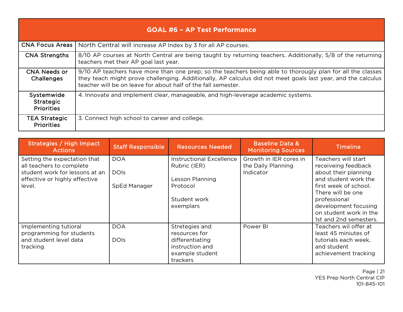| <b>GOAL #6 - AP Test Performance</b>                |                                                                                                                                                                                                                                                                                             |  |  |  |
|-----------------------------------------------------|---------------------------------------------------------------------------------------------------------------------------------------------------------------------------------------------------------------------------------------------------------------------------------------------|--|--|--|
|                                                     | CNA Focus Areas   North Central will increase AP Index by 3 for all AP courses.                                                                                                                                                                                                             |  |  |  |
| <b>CNA Strengths</b>                                | 8/10 AP courses at North Central are being taught by returning teachers. Additionally, 5/8 of the returning<br>teachers met their AP goal last year.                                                                                                                                        |  |  |  |
| <b>CNA Needs or</b><br>Challenges                   | 9/10 AP teachers have more than one prep; so the teachers being able to thorougly plan for all the classes<br>they teach might prove challenging. Additionally, AP calculus did not meet goals last year, and the calculus<br>teacher will be on leave for about half of the fall semester. |  |  |  |
| Systemwide<br><b>Strategic</b><br><b>Priorities</b> | 4. Innovate and implement clear, manageable, and high-leverage academic systems.                                                                                                                                                                                                            |  |  |  |
| <b>TEA Strategic</b><br><b>Priorities</b>           | 3. Connect high school to career and college.                                                                                                                                                                                                                                               |  |  |  |

<span id="page-20-0"></span>

| Strategies / High Impact<br><b>Actions</b>                                                                                            | <b>Staff Responsible</b>                  | <b>Resources Needed</b>                                                        | <b>Baseline Data &amp;</b><br><b>Monitoring Sources</b>   | <b>Timeline</b>                                                                                                     |
|---------------------------------------------------------------------------------------------------------------------------------------|-------------------------------------------|--------------------------------------------------------------------------------|-----------------------------------------------------------|---------------------------------------------------------------------------------------------------------------------|
| Setting the expectation that<br>all teachers to complete<br>student work for lessons at an<br>effective or highly effective<br>level. | <b>DOA</b><br><b>DOIS</b><br>SpEd Manager | <b>Instructional Excellence</b><br>Rubric (IER)<br>Lesson Planning<br>Protocol | Growth in IER cores in<br>the Daily Planning<br>Indicator | Teachers will start<br>receiveing feedback<br>about their planning<br>and student work the<br>first week of school. |
|                                                                                                                                       |                                           | Student work<br>exemplars                                                      |                                                           | There will be one<br>professional<br>development focusing<br>on student work in the<br>1st and 2nd semesters.       |
| Implementing tutioral<br>programming for students                                                                                     | <b>DOA</b>                                | Stretegies and<br>resources for                                                | Power BI                                                  | Teachers wil offer at<br>least 45 miniutes of                                                                       |
| and student level data<br>tracking.                                                                                                   | <b>DOIS</b>                               | differentiating<br>instruction and<br>example student<br>trackers              |                                                           | tutorials each week,<br>and student<br>achievement tracking                                                         |